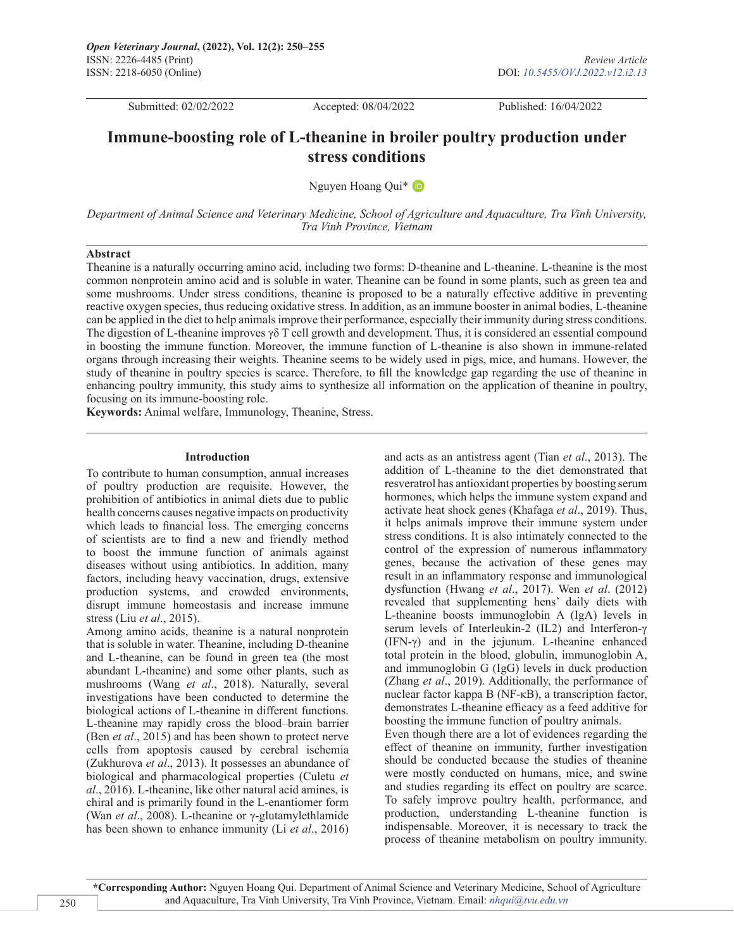Submitted: 02/02/2022 Accepted: 08/04/2022 Published: 16/04/2022

# **Immune-boosting role of L-theanine in broiler poultry production under stress conditions**

Nguyen Hoang Qui\*

*Department of Animal Science and Veterinary Medicine, School of Agriculture and Aquaculture, Tra Vinh University, Tra Vinh Province, Vietnam*

#### **Abstract**

Theanine is a naturally occurring amino acid, including two forms: D-theanine and L-theanine. L-theanine is the most common nonprotein amino acid and is soluble in water. Theanine can be found in some plants, such as green tea and some mushrooms. Under stress conditions, theanine is proposed to be a naturally effective additive in preventing reactive oxygen species, thus reducing oxidative stress. In addition, as an immune booster in animal bodies, L-theanine can be applied in the diet to help animals improve their performance, especially their immunity during stress conditions. The digestion of L-theanine improves  $\gamma \delta$  T cell growth and development. Thus, it is considered an essential compound in boosting the immune function. Moreover, the immune function of L-theanine is also shown in immune-related organs through increasing their weights. Theanine seems to be widely used in pigs, mice, and humans. However, the study of theanine in poultry species is scarce. Therefore, to fill the knowledge gap regarding the use of theanine in enhancing poultry immunity, this study aims to synthesize all information on the application of theanine in poultry, focusing on its immune-boosting role.

**Keywords:** Animal welfare, Immunology, Theanine, Stress.

## **Introduction**

To contribute to human consumption, annual increases of poultry production are requisite. However, the prohibition of antibiotics in animal diets due to public health concerns causes negative impacts on productivity which leads to financial loss. The emerging concerns of scientists are to find a new and friendly method to boost the immune function of animals against diseases without using antibiotics. In addition, many factors, including heavy vaccination, drugs, extensive production systems, and crowded environments, disrupt immune homeostasis and increase immune stress (Liu *et al*., 2015).

Among amino acids, theanine is a natural nonprotein that is soluble in water. Theanine, including D-theanine and L-theanine, can be found in green tea (the most abundant L-theanine) and some other plants, such as mushrooms (Wang *et al*., 2018). Naturally, several investigations have been conducted to determine the biological actions of L-theanine in different functions. L-theanine may rapidly cross the blood–brain barrier (Ben *et al*., 2015) and has been shown to protect nerve cells from apoptosis caused by cerebral ischemia (Zukhurova *et al*., 2013). It possesses an abundance of biological and pharmacological properties (Culetu *et al*., 2016). L-theanine, like other natural acid amines, is chiral and is primarily found in the L-enantiomer form (Wan *et al*., 2008). L-theanine or γ-glutamylethlamide has been shown to enhance immunity (Li *et al*., 2016)

and acts as an antistress agent (Tian *et al*., 2013). The addition of L-theanine to the diet demonstrated that resveratrol has antioxidant properties by boosting serum hormones, which helps the immune system expand and activate heat shock genes (Khafaga *et al*., 2019). Thus, it helps animals improve their immune system under stress conditions. It is also intimately connected to the control of the expression of numerous inflammatory genes, because the activation of these genes may result in an inflammatory response and immunological dysfunction (Hwang *et al*., 2017). Wen *et al*. (2012) revealed that supplementing hens' daily diets with L-theanine boosts immunoglobin A (IgA) levels in serum levels of Interleukin-2 (IL2) and Interferon-γ (IFN-γ) and in the jejunum. L-theanine enhanced total protein in the blood, globulin, immunoglobin A, and immunoglobin G (IgG) levels in duck production (Zhang *et al*., 2019). Additionally, the performance of nuclear factor kappa B (NF-κB), a transcription factor, demonstrates L-theanine efficacy as a feed additive for boosting the immune function of poultry animals.

Even though there are a lot of evidences regarding the effect of theanine on immunity, further investigation should be conducted because the studies of theanine were mostly conducted on humans, mice, and swine and studies regarding its effect on poultry are scarce. To safely improve poultry health, performance, and production, understanding L-theanine function is indispensable. Moreover, it is necessary to track the process of theanine metabolism on poultry immunity.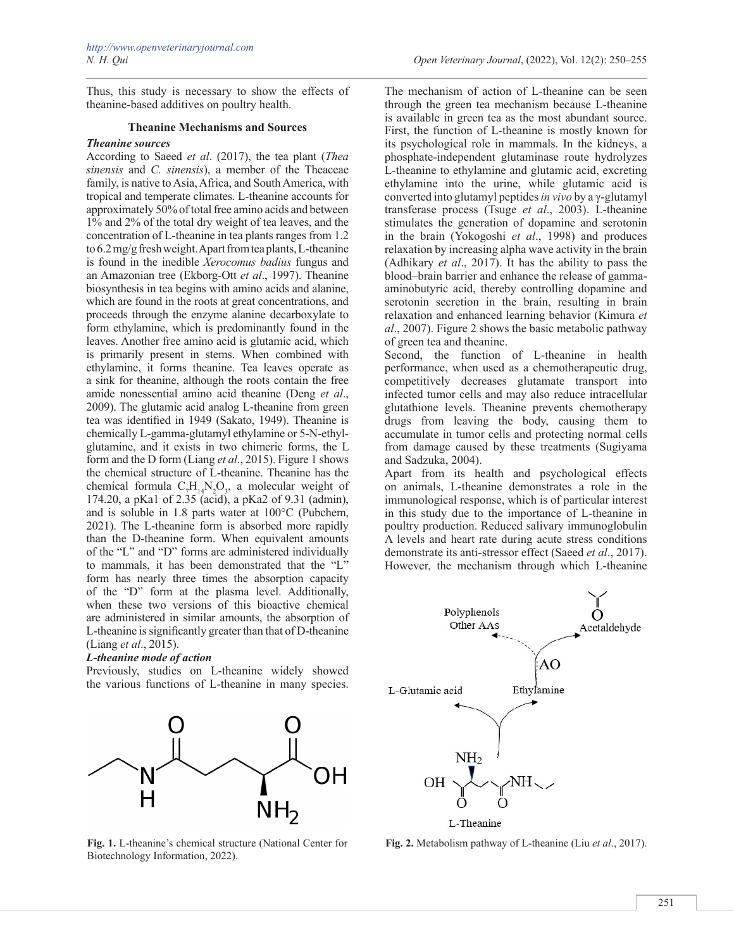Thus, this study is necessary to show the effects of theanine-based additives on poultry health.

### **Theanine Mechanisms and Sources**

### *Theanine sources*

According to Saeed *et al*. (2017), the tea plant (*Thea sinensis* and *C. sinensis*), a member of the Theaceae family, is native to Asia, Africa, and South America, with tropical and temperate climates. L-theanine accounts for approximately 50% of total free amino acids and between 1% and 2% of the total dry weight of tea leaves, and the concentration of L-theanine in tea plants ranges from 1.2 to 6.2 mg/g fresh weight. Apart from tea plants, L-theanine is found in the inedible *Xerocomus badius* fungus and an Amazonian tree (Ekborg-Ott *et al*., 1997). Theanine biosynthesis in tea begins with amino acids and alanine, which are found in the roots at great concentrations, and proceeds through the enzyme alanine decarboxylate to form ethylamine, which is predominantly found in the leaves. Another free amino acid is glutamic acid, which is primarily present in stems. When combined with ethylamine, it forms theanine. Tea leaves operate as a sink for theanine, although the roots contain the free amide nonessential amino acid theanine (Deng *et al*., 2009). The glutamic acid analog L-theanine from green tea was identified in 1949 (Sakato, 1949). Theanine is chemically L-gamma-glutamyl ethylamine or 5-N-ethylglutamine, and it exists in two chimeric forms, the L form and the D form (Liang *et al*., 2015). Figure 1 shows the chemical structure of L-theanine. Theanine has the chemical formula  $C_7H_{14}N_2O_3$ , a molecular weight of 174.20, a pKa1 of 2.35 (acid), a pKa2 of 9.31 (admin), and is soluble in 1.8 parts water at 100°C (Pubchem, 2021). The L-theanine form is absorbed more rapidly than the D-theanine form. When equivalent amounts of the "L" and "D" forms are administered individually to mammals, it has been demonstrated that the "L" form has nearly three times the absorption capacity of the "D" form at the plasma level. Additionally, when these two versions of this bioactive chemical are administered in similar amounts, the absorption of L-theanine is significantly greater than that of D-theanine (Liang *et al*., 2015).

#### *L-theanine mode of action*

Previously, studies on L-theanine widely showed the various functions of L-theanine in many species.



**Fig. 1.** L-theanine's chemical structure (National Center for Biotechnology Information, 2022).

The mechanism of action of L-theanine can be seen through the green tea mechanism because L-theanine is available in green tea as the most abundant source. First, the function of L-theanine is mostly known for its psychological role in mammals. In the kidneys, a phosphate-independent glutaminase route hydrolyzes L-theanine to ethylamine and glutamic acid, excreting ethylamine into the urine, while glutamic acid is converted into glutamyl peptides *in vivo* by a γ-glutamyl transferase process (Tsuge *et al*., 2003). L-theanine stimulates the generation of dopamine and serotonin in the brain (Yokogoshi *et al*., 1998) and produces relaxation by increasing alpha wave activity in the brain (Adhikary *et al*., 2017). It has the ability to pass the blood–brain barrier and enhance the release of gammaaminobutyric acid, thereby controlling dopamine and serotonin secretion in the brain, resulting in brain relaxation and enhanced learning behavior (Kimura *et al*., 2007). Figure 2 shows the basic metabolic pathway of green tea and theanine.

Second, the function of L-theanine in health performance, when used as a chemotherapeutic drug, competitively decreases glutamate transport into infected tumor cells and may also reduce intracellular glutathione levels. Theanine prevents chemotherapy drugs from leaving the body, causing them to accumulate in tumor cells and protecting normal cells from damage caused by these treatments (Sugiyama and Sadzuka, 2004).

Apart from its health and psychological effects on animals, L-theanine demonstrates a role in the immunological response, which is of particular interest in this study due to the importance of L-theanine in poultry production. Reduced salivary immunoglobulin A levels and heart rate during acute stress conditions demonstrate its anti-stressor effect (Saeed *et al*., 2017). However, the mechanism through which L-theanine



**Fig. 2.** Metabolism pathway of L-theanine (Liu *et al*., 2017).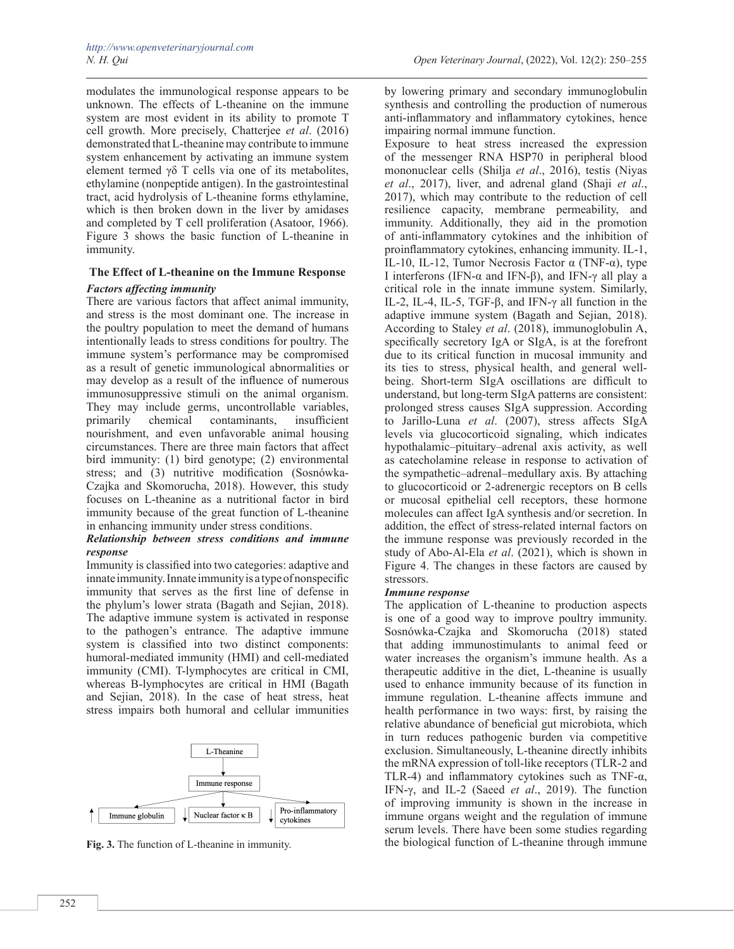modulates the immunological response appears to be unknown. The effects of L-theanine on the immune system are most evident in its ability to promote T cell growth. More precisely, Chatterjee *et al*. (2016) demonstrated that L-theanine may contribute to immune system enhancement by activating an immune system element termed γδ T cells via one of its metabolites, ethylamine (nonpeptide antigen). In the gastrointestinal tract, acid hydrolysis of L-theanine forms ethylamine, which is then broken down in the liver by amidases and completed by T cell proliferation (Asatoor, 1966). Figure 3 shows the basic function of L-theanine in immunity.

# **The Effect of L-theanine on the Immune Response** *Factors affecting immunity*

There are various factors that affect animal immunity, and stress is the most dominant one. The increase in the poultry population to meet the demand of humans intentionally leads to stress conditions for poultry. The immune system's performance may be compromised as a result of genetic immunological abnormalities or may develop as a result of the influence of numerous immunosuppressive stimuli on the animal organism. They may include germs, uncontrollable variables, primarily chemical contaminants, insufficient nourishment, and even unfavorable animal housing circumstances. There are three main factors that affect bird immunity: (1) bird genotype; (2) environmental stress; and (3) nutritive modification (Sosnówka-Czajka and Skomorucha, 2018). However, this study focuses on L-theanine as a nutritional factor in bird immunity because of the great function of L-theanine in enhancing immunity under stress conditions.

# *Relationship between stress conditions and immune response*

Immunity is classified into two categories: adaptive and innate immunity. Innate immunity is a type of nonspecific immunity that serves as the first line of defense in the phylum's lower strata (Bagath and Sejian, 2018). The adaptive immune system is activated in response to the pathogen's entrance. The adaptive immune system is classified into two distinct components: humoral-mediated immunity (HMI) and cell-mediated immunity (CMI). T-lymphocytes are critical in CMI, whereas B-lymphocytes are critical in HMI (Bagath and Sejian, 2018). In the case of heat stress, heat stress impairs both humoral and cellular immunities



by lowering primary and secondary immunoglobulin synthesis and controlling the production of numerous anti-inflammatory and inflammatory cytokines, hence impairing normal immune function.

Exposure to heat stress increased the expression of the messenger RNA HSP70 in peripheral blood mononuclear cells (Shilja *et al*., 2016), testis (Niyas *et al*., 2017), liver, and adrenal gland (Shaji *et al*., 2017), which may contribute to the reduction of cell resilience capacity, membrane permeability, and immunity. Additionally, they aid in the promotion of anti-inflammatory cytokines and the inhibition of proinflammatory cytokines, enhancing immunity. IL-1, IL-10, IL-12, Tumor Necrosis Factor  $\alpha$  (TNF- $\alpha$ ), type I interferons (IFN-α and IFN-β), and IFN-γ all play a critical role in the innate immune system. Similarly, IL-2, IL-4, IL-5, TGF-β, and IFN-γ all function in the adaptive immune system (Bagath and Sejian, 2018). According to Staley *et al*. (2018), immunoglobulin A, specifically secretory IgA or SIgA, is at the forefront due to its critical function in mucosal immunity and its ties to stress, physical health, and general wellbeing. Short-term SIgA oscillations are difficult to understand, but long-term SIgA patterns are consistent: prolonged stress causes SIgA suppression. According to Jarillo-Luna *et al*. (2007), stress affects SIgA levels via glucocorticoid signaling, which indicates hypothalamic–pituitary–adrenal axis activity, as well as catecholamine release in response to activation of the sympathetic–adrenal–medullary axis. By attaching to glucocorticoid or 2-adrenergic receptors on B cells or mucosal epithelial cell receptors, these hormone molecules can affect IgA synthesis and/or secretion. In addition, the effect of stress-related internal factors on the immune response was previously recorded in the study of Abo-Al-Ela *et al*. (2021), which is shown in Figure 4. The changes in these factors are caused by stressors.

## *Immune response*

The application of L-theanine to production aspects is one of a good way to improve poultry immunity. Sosnówka-Czajka and Skomorucha (2018) stated that adding immunostimulants to animal feed or water increases the organism's immune health. As a therapeutic additive in the diet, L-theanine is usually used to enhance immunity because of its function in immune regulation. L-theanine affects immune and health performance in two ways: first, by raising the relative abundance of beneficial gut microbiota, which in turn reduces pathogenic burden via competitive exclusion. Simultaneously, L-theanine directly inhibits the mRNA expression of toll-like receptors (TLR-2 and TLR-4) and inflammatory cytokines such as TNF-α, IFN-γ, and IL-2 (Saeed *et al*., 2019). The function of improving immunity is shown in the increase in immune organs weight and the regulation of immune serum levels. There have been some studies regarding Fig. 3. The function of L-theanine in immunity. the biological function of L-theanine through immune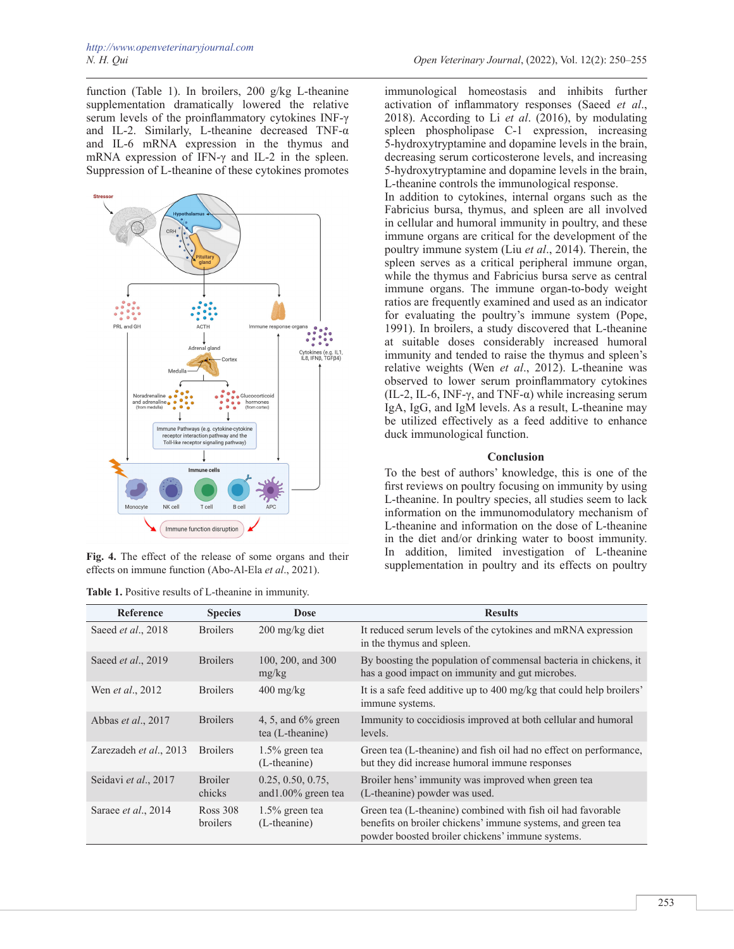function (Table 1). In broilers, 200 g/kg L-theanine supplementation dramatically lowered the relative serum levels of the proinflammatory cytokines INF-γ and IL-2. Similarly, L-theanine decreased TNF-α and IL-6 mRNA expression in the thymus and mRNA expression of IFN-γ and IL-2 in the spleen. Suppression of L-theanine of these cytokines promotes



effects on immune function (Abo-Al-Ela *et al*., 2021).

immunological homeostasis and inhibits further activation of inflammatory responses (Saeed *et al*., 2018). According to Li *et al*. (2016), by modulating spleen phospholipase C-1 expression, increasing 5-hydroxytryptamine and dopamine levels in the brain, decreasing serum corticosterone levels, and increasing 5-hydroxytryptamine and dopamine levels in the brain, L-theanine controls the immunological response.

In addition to cytokines, internal organs such as the Fabricius bursa, thymus, and spleen are all involved in cellular and humoral immunity in poultry, and these immune organs are critical for the development of the poultry immune system (Liu *et al*., 2014). Therein, the spleen serves as a critical peripheral immune organ, while the thymus and Fabricius bursa serve as central immune organs. The immune organ-to-body weight ratios are frequently examined and used as an indicator for evaluating the poultry's immune system (Pope, 1991). In broilers, a study discovered that L-theanine at suitable doses considerably increased humoral immunity and tended to raise the thymus and spleen's relative weights (Wen *et al*., 2012). L-theanine was observed to lower serum proinflammatory cytokines (IL-2, IL-6, INF- $\gamma$ , and TNF- $\alpha$ ) while increasing serum IgA, IgG, and IgM levels. As a result, L-theanine may be utilized effectively as a feed additive to enhance duck immunological function.

## **Conclusion**

To the best of authors' knowledge, this is one of the first reviews on poultry focusing on immunity by using L-theanine. In poultry species, all studies seem to lack information on the immunomodulatory mechanism of L-theanine and information on the dose of L-theanine in the diet and/or drinking water to boost immunity. In addition, limited investigation of L-theanine Fig. 4. The effect of the release of some organs and their<br>
effects on immune function (Abo-Al-Fla et al. 2021)<br>
Supplementation in poultry and its effects on poultry

| <b>Reference</b>         | <b>Species</b>              | <b>Dose</b>                                 | <b>Results</b>                                                                                                                                                                 |
|--------------------------|-----------------------------|---------------------------------------------|--------------------------------------------------------------------------------------------------------------------------------------------------------------------------------|
| Saeed et al., 2018       | <b>Broilers</b>             | 200 mg/kg diet                              | It reduced serum levels of the cytokines and mRNA expression<br>in the thymus and spleen.                                                                                      |
| Saeed et al., 2019       | <b>Broilers</b>             | 100, 200, and 300<br>mg/kg                  | By boosting the population of commensal bacteria in chickens, it<br>has a good impact on immunity and gut microbes.                                                            |
| Wen <i>et al.</i> , 2012 | <b>Broilers</b>             | $400 \frac{\text{mg}}{\text{kg}}$           | It is a safe feed additive up to 400 mg/kg that could help broilers'<br>immune systems.                                                                                        |
| Abbas et al., 2017       | <b>Broilers</b>             | 4, 5, and $6\%$ green<br>tea (L-theanine)   | Immunity to coccidiosis improved at both cellular and humoral<br>levels.                                                                                                       |
| Zarezadeh et al., 2013   | <b>Broilers</b>             | $1.5\%$ green tea<br>(L-theanine)           | Green tea (L-theanine) and fish oil had no effect on performance,<br>but they did increase humoral immune responses                                                            |
| Seidavi et al., 2017     | <b>Broiler</b><br>chicks    | 0.25, 0.50, 0.75,<br>and $1.00\%$ green tea | Broiler hens' immunity was improved when green tea<br>(L-theanine) powder was used.                                                                                            |
| Saraee et al., 2014      | <b>Ross 308</b><br>broilers | $1.5\%$ green tea<br>(L-theanine)           | Green tea (L-theanine) combined with fish oil had favorable<br>benefits on broiler chickens' immune systems, and green tea<br>powder boosted broiler chickens' immune systems. |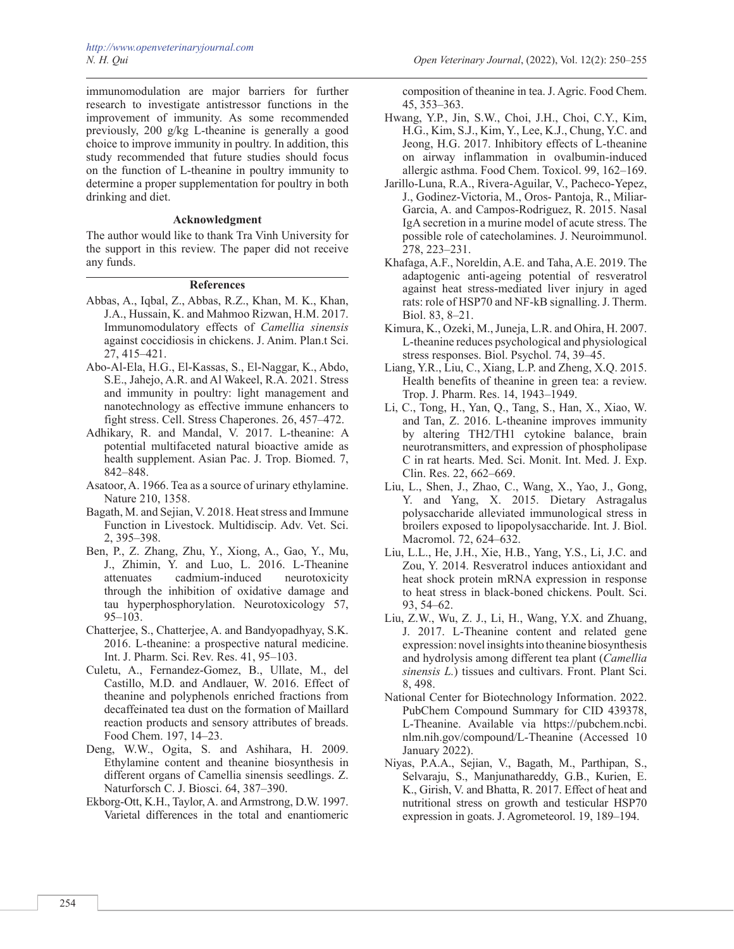immunomodulation are major barriers for further research to investigate antistressor functions in the improvement of immunity. As some recommended previously, 200 g/kg L-theanine is generally a good choice to improve immunity in poultry. In addition, this study recommended that future studies should focus on the function of L-theanine in poultry immunity to determine a proper supplementation for poultry in both drinking and diet.

## **Acknowledgment**

The author would like to thank Tra Vinh University for the support in this review. The paper did not receive any funds.

# **References**

- Abbas, A., Iqbal, Z., Abbas, R.Z., Khan, M. K., Khan, J.A., Hussain, K. and Mahmoo Rizwan, H.M. 2017. Immunomodulatory effects of *Camellia sinensis* against coccidiosis in chickens. J. Anim. Plan.t Sci. 27, 415–421.
- Abo-Al-Ela, H.G., El-Kassas, S., El-Naggar, K., Abdo, S.E., Jahejo, A.R. and Al Wakeel, R.A. 2021. Stress and immunity in poultry: light management and nanotechnology as effective immune enhancers to fight stress. Cell. Stress Chaperones. 26, 457–472.
- Adhikary, R. and Mandal, V. 2017. L-theanine: A potential multifaceted natural bioactive amide as health supplement. Asian Pac. J. Trop. Biomed. 7, 842–848.
- Asatoor, A. 1966. Tea as a source of urinary ethylamine. Nature 210, 1358.
- Bagath, M. and Sejian, V. 2018. Heat stress and Immune Function in Livestock. Multidiscip. Adv. Vet. Sci. 2, 395–398.
- Ben, P., Z. Zhang, Zhu, Y., Xiong, A., Gao, Y., Mu, J., Zhimin, Y. and Luo, L. 2016. L-Theanine attenuates cadmium-induced neurotoxicity through the inhibition of oxidative damage and tau hyperphosphorylation. Neurotoxicology 57,  $95-103$ .
- Chatterjee, S., Chatterjee, A. and Bandyopadhyay, S.K. 2016. L-theanine: a prospective natural medicine. Int. J. Pharm. Sci. Rev. Res. 41, 95–103.
- Culetu, A., Fernandez-Gomez, B., Ullate, M., del Castillo, M.D. and Andlauer, W. 2016. Effect of theanine and polyphenols enriched fractions from decaffeinated tea dust on the formation of Maillard reaction products and sensory attributes of breads. Food Chem. 197, 14–23.
- Deng, W.W., Ogita, S. and Ashihara, H. 2009. Ethylamine content and theanine biosynthesis in different organs of Camellia sinensis seedlings. Z. Naturforsch C. J. Biosci. 64, 387–390.
- Ekborg-Ott, K.H., Taylor, A. and Armstrong, D.W. 1997. Varietal differences in the total and enantiomeric

composition of theanine in tea. J. Agric. Food Chem. 45, 353–363.

- Hwang, Y.P., Jin, S.W., Choi, J.H., Choi, C.Y., Kim, H.G., Kim, S.J., Kim, Y., Lee, K.J., Chung, Y.C. and Jeong, H.G. 2017. Inhibitory effects of L-theanine on airway inflammation in ovalbumin-induced allergic asthma. Food Chem. Toxicol. 99, 162–169.
- Jarillo-Luna, R.A., Rivera-Aguilar, V., Pacheco-Yepez, J., Godinez-Victoria, M., Oros- Pantoja, R., Miliar-Garcia, A. and Campos-Rodriguez, R. 2015. Nasal IgA secretion in a murine model of acute stress. The possible role of catecholamines. J. Neuroimmunol. 278, 223–231.
- Khafaga, A.F., Noreldin, A.E. and Taha, A.E. 2019. The adaptogenic anti-ageing potential of resveratrol against heat stress-mediated liver injury in aged rats: role of HSP70 and NF-kB signalling. J. Therm. Biol. 83, 8–21.
- Kimura, K., Ozeki, M., Juneja, L.R. and Ohira, H. 2007. L-theanine reduces psychological and physiological stress responses. Biol. Psychol. 74, 39–45.
- Liang, Y.R., Liu, C., Xiang, L.P. and Zheng, X.Q. 2015. Health benefits of theanine in green tea: a review. Trop. J. Pharm. Res. 14, 1943–1949.
- Li, C., Tong, H., Yan, Q., Tang, S., Han, X., Xiao, W. and Tan, Z. 2016. L-theanine improves immunity by altering TH2/TH1 cytokine balance, brain neurotransmitters, and expression of phospholipase C in rat hearts. Med. Sci. Monit. Int. Med. J. Exp. Clin. Res. 22, 662–669.
- Liu, L., Shen, J., Zhao, C., Wang, X., Yao, J., Gong, Y. and Yang, X. 2015. Dietary Astragalus polysaccharide alleviated immunological stress in broilers exposed to lipopolysaccharide. Int. J. Biol. Macromol. 72, 624–632.
- Liu, L.L., He, J.H., Xie, H.B., Yang, Y.S., Li, J.C. and Zou, Y. 2014. Resveratrol induces antioxidant and heat shock protein mRNA expression in response to heat stress in black-boned chickens. Poult. Sci. 93, 54–62.
- Liu, Z.W., Wu, Z. J., Li, H., Wang, Y.X. and Zhuang, J. 2017. L-Theanine content and related gene expression: novel insights into theanine biosynthesis and hydrolysis among different tea plant (*Camellia sinensis L.*) tissues and cultivars. Front. Plant Sci. 8, 498.
- National Center for Biotechnology Information. 2022. PubChem Compound Summary for CID 439378, L-Theanine. Available via https://pubchem.ncbi. nlm.nih.gov/compound/L-Theanine (Accessed 10 January 2022).
- Niyas, P.A.A., Sejian, V., Bagath, M., Parthipan, S., Selvaraju, S., Manjunathareddy, G.B., Kurien, E. K., Girish, V. and Bhatta, R. 2017. Effect of heat and nutritional stress on growth and testicular HSP70 expression in goats. J. Agrometeorol. 19, 189–194.